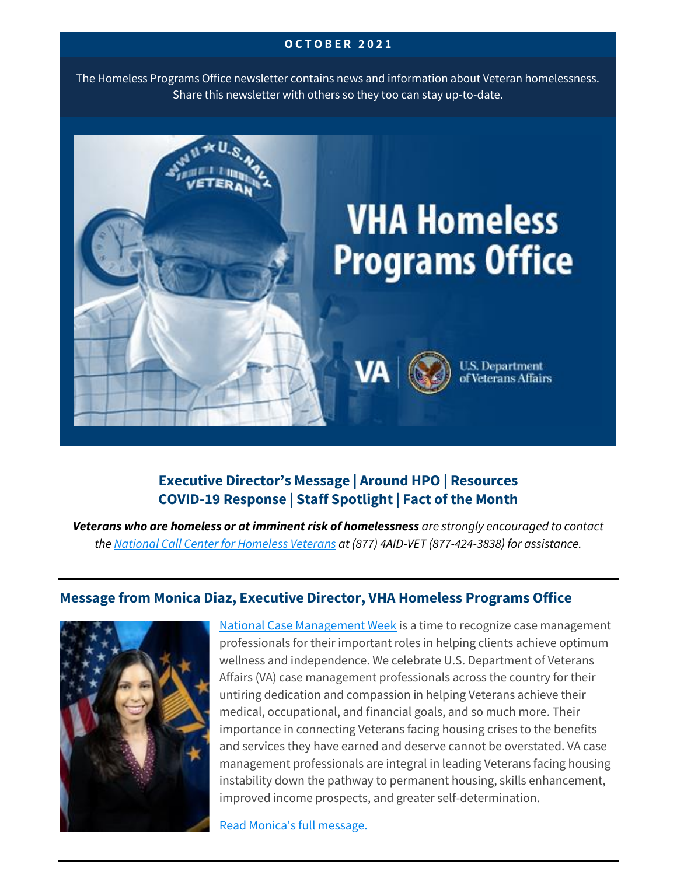#### **O C T O B E R 2 0 2 1**

The Homeless Programs Office newsletter contains news and information about Veteran homelessness. Share this newsletter with others so they too can stay up-to-date.



# **Executive Director's Message | Around HPO | Resources COVID-19 Response | Staff Spotlight | Fact of the Month**

*Veterans who are homeless or at imminent risk of homelessness are strongly encouraged to contact the [National Call Center for Homeless Veterans](https://www.va.gov/homeless/nationalcallcenter.asp) at (877) 4AID-VET (877-424-3838) for assistance.*

### **Message from Monica Diaz, Executive Director, VHA Homeless Programs Office**



[National Case Management Week](https://www.acmaweb.org/section.aspx?sID=82) is a time to recognize case management professionals for their important roles in helping clients achieve optimum wellness and independence. We celebrate U.S. Department of Veterans Affairs (VA) case management professionals across the country for their untiring dedication and compassion in helping Veterans achieve their medical, occupational, and financial goals, and so much more. Their importance in connecting Veterans facing housing crises to the benefits and services they have earned and deserve cannot be overstated. VA case management professionals are integral in leading Veterans facing housing instability down the pathway to permanent housing, skills enhancement, improved income prospects, and greater self-determination.

[Read Monica's full message.](https://www.va.gov/HOMELESS/updates/2021-10-Directors-Message.asp)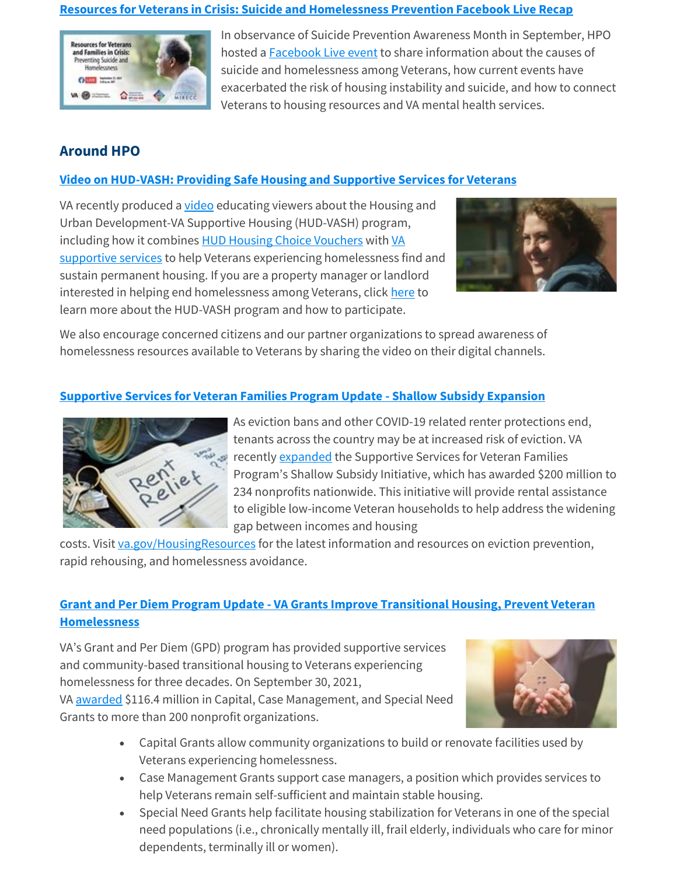#### **[Resources for Veterans in Crisis: Suicide and Homelessness Prevention Facebook Live Recap](https://ms-my.facebook.com/VeteransAffairs/videos/resources-for-veterans-and-families-in-crisis-preventing-suicide-and-homelessnes/599526601210013/)**



In observance of Suicide Prevention Awareness Month in September, HPO hosted a [Facebook Live](https://ms-my.facebook.com/VeteransAffairs/videos/resources-for-veterans-and-families-in-crisis-preventing-suicide-and-homelessnes/599526601210013/) event to share information about the causes of suicide and homelessness among Veterans, how current events have exacerbated the risk of housing instability and suicide, and how to connect Veterans to housing resources and VA mental health services.

# **Around HPO**

### **[Video on HUD-VASH: Providing Safe Housing and Supportive Services for Veterans](https://youtu.be/cYgCgyZMppM)**

VA recently produced a *[video](https://www.youtube.com/watch?v=cYgCgyZMppM)* educating viewers about the Housing and Urban Development-VA Supportive Housing (HUD-VASH) program, including how it combines [HUD Housing Choice Vouchers](https://www.hud.gov/topics/housing_choice_voucher_program_section_8) with [VA](https://www.va.gov/homeless/hud-vash.asp)  [supportive services](https://www.va.gov/homeless/hud-vash.asp) to help Veterans experiencing homelessness find and sustain permanent housing. If you are a property manager or landlord interested in helping end homelessness among Veterans, click [here](https://www.va.gov/homeless/stakeholders.asp) to learn more about the HUD-VASH program and how to participate.



We also encourage concerned citizens and our partner organizations to spread awareness of homelessness resources available to Veterans by sharing the video on their digital channels.

### **[Supportive Services for Veteran Families Program Update -](https://www.va.gov/opa/pressrel/pressrelease.cfm?id=5709) Shallow Subsidy Expansion**



As eviction bans and other COVID-19 related renter protections end, tenants across the country may be at increased risk of eviction. VA recently [expanded](https://www.va.gov/opa/pressrel/pressrelease.cfm?id=5709) the Supportive Services for Veteran Families Program's Shallow Subsidy Initiative, which has awarded \$200 million to 234 nonprofits nationwide. This initiative will provide rental assistance to eligible low-income Veteran households to help address the widening gap between incomes and housing

costs. Visit [va.gov/HousingResources](http://www.va.gov/HousingResources) for the latest information and resources on eviction prevention, rapid rehousing, and homelessness avoidance.

### **Grant and Per Diem Program Update - [VA Grants Improve Transitional Housing, Prevent Veteran](https://www.va.gov/opa/pressrel/pressrelease.cfm?id=5708)  [Homelessness](https://www.va.gov/opa/pressrel/pressrelease.cfm?id=5708)**

VA's Grant and Per Diem (GPD) program has provided supportive services and community-based transitional housing to Veterans experiencing homelessness for three decades. On September 30, 2021, VA [awarded](https://www.va.gov/opa/pressrel/pressrelease.cfm?id=5708) \$116.4 million in Capital, Case Management, and Special Need Grants to more than 200 nonprofit organizations.



- Capital Grants allow community organizations to build or renovate facilities used by Veterans experiencing homelessness.
- Case Management Grants support case managers, a position which provides services to help Veterans remain self-sufficient and maintain stable housing.
- Special Need Grants help facilitate housing stabilization for Veterans in one of the special need populations (i.e., chronically mentally ill, frail elderly, individuals who care for minor dependents, terminally ill or women).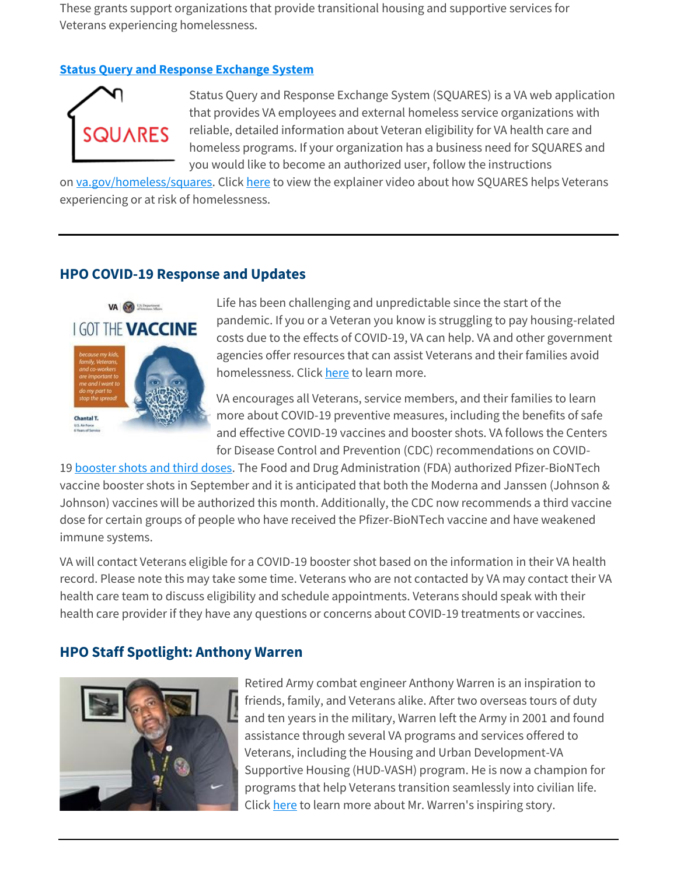These grants support organizations that provide transitional housing and supportive services for Veterans experiencing homelessness.

#### **[Status Query and Response Exchange System](https://www.va.gov/homeless/squares)**



Status Query and Response Exchange System (SQUARES) is a VA web application that provides VA employees and external homeless service organizations with reliable, detailed information about Veteran eligibility for VA health care and homeless programs. If your organization has a business need for SQUARES and you would like to become an authorized user, follow the instructions

on [va.gov/homeless/squares.](https://www.va.gov/homeless/squares) Click [here](https://www.youtube.com/watch?v=KTDw4Lh7Kso) to view the explainer video about how SQUARES helps Veterans experiencing or at risk of homelessness.

### **HPO COVID-19 Response and Updates**



Life has been challenging and unpredictable since the start of the pandemic. If you or a Veteran you know is struggling to pay housing-related costs due to the effects of COVID-19, VA can help. VA and other government agencies offer resources that can assist Veterans and their families avoid homelessness. Click [here](https://www.va.gov/homeless/housingresources/index.asp) to learn more.

VA encourages all Veterans, service members, and their families to learn more about COVID-19 preventive measures, including the benefits of safe and effective COVID-19 vaccines and booster shots. VA follows the Centers for Disease Control and Prevention (CDC) recommendations on COVID-

19 [booster shots and third doses.](https://www.va.gov/health-care/covid-19-vaccine/booster-shots-and-additional-doses/#the-difference-between-an-addi) The Food and Drug Administration (FDA) authorized Pfizer-BioNTech vaccine booster shots in September and it is anticipated that both the Moderna and Janssen (Johnson & Johnson) vaccines will be authorized this month. Additionally, the CDC now recommends a third vaccine dose for certain groups of people who have received the Pfizer-BioNTech vaccine and have weakened immune systems.

VA will contact Veterans eligible for a COVID-19 booster shot based on the information in their VA health record. Please note this may take some time. Veterans who are not contacted by VA may contact their VA health care team to discuss eligibility and schedule appointments. Veterans should speak with their health care provider if they have any questions or concerns about COVID-19 treatments or vaccines.

# **HPO Staff Spotlight: Anthony Warren**



Retired Army combat engineer Anthony Warren is an inspiration to friends, family, and Veterans alike. After two overseas tours of duty and ten years in the military, Warren left the Army in 2001 and found assistance through several VA programs and services offered to Veterans, including the Housing and Urban Development-VA Supportive Housing (HUD-VASH) program. He is now a champion for programs that help Veterans transition seamlessly into civilian life. Click [here](https://blogs.va.gov/VAntage/95086/veteran-recovery-leads-to-role-as-a-hud-vash-peer-support-specialist/) to learn more about Mr. Warren's inspiring story.